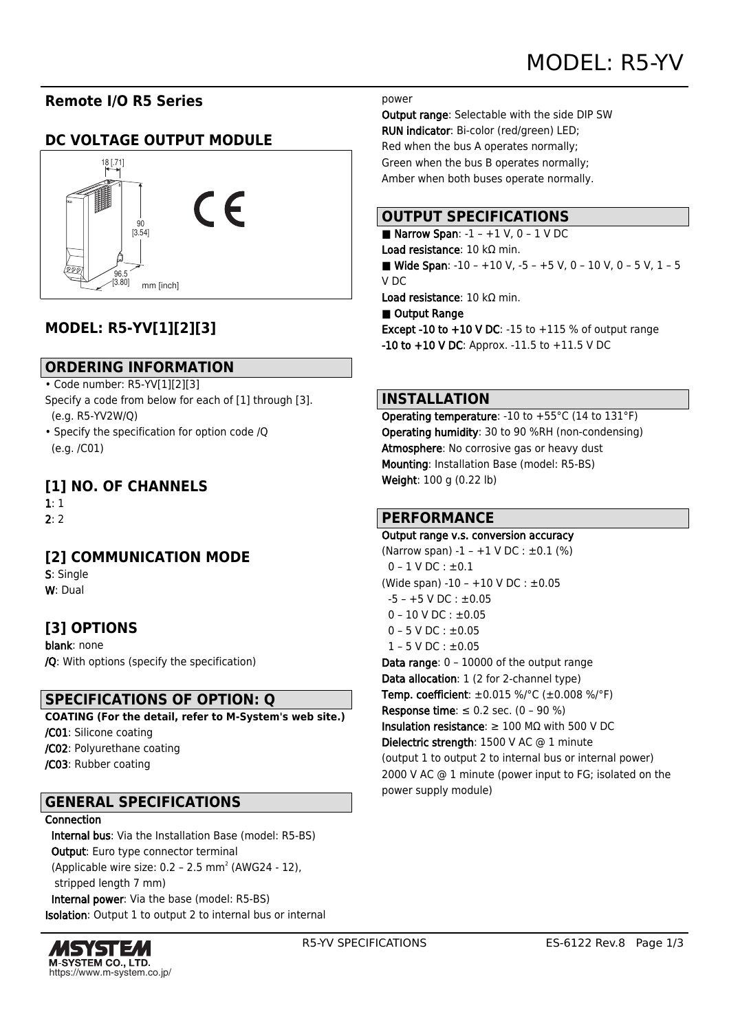# **Remote I/O R5 Series**

# **DC VOLTAGE OUTPUT MODULE**



# **MODEL: R5-YV[1][2][3]**

## **ORDERING INFORMATION**

- Code number: R5-YV[1][2][3]
- Specify a code from below for each of [1] through [3]. (e.g. R5-YV2W/Q)
- Specify the specification for option code /Q (e.g. /C01)

## **[1] NO. OF CHANNELS**

1: 1

 $2:2$ 

# **[2] COMMUNICATION MODE**

S: Single W: Dual

# **[3] OPTIONS**

blank: none /Q: With options (specify the specification)

## **SPECIFICATIONS OF OPTION: Q**

**COATING (For the detail, refer to M-System's web site.)** /C01: Silicone coating /C02: Polyurethane coating /C03: Rubber coating

## **GENERAL SPECIFICATIONS**

#### Connection

 Internal bus: Via the Installation Base (model: R5-BS) Output: Euro type connector terminal (Applicable wire size:  $0.2 - 2.5$  mm<sup>2</sup> (AWG24 - 12), stripped length 7 mm) Internal power: Via the base (model: R5-BS) Isolation: Output 1 to output 2 to internal bus or internal



#### power

Output range: Selectable with the side DIP SW RUN indicator: Bi-color (red/green) LED; Red when the bus A operates normally; Green when the bus B operates normally; Amber when both buses operate normally.

## **OUTPUT SPECIFICATIONS**

Narrow Span:  $-1 - +1$  V, 0  $-1$  V DC Load resistance: 10 kΩ min. ■ Wide Span:  $-10 - +10$  V,  $-5 - +5$  V, 0  $-10$  V, 0  $-5$  V, 1  $-5$ V DC Load resistance: 10 kΩ min.

#### ■ Output Range

**Except -10 to +10 V DC: -15 to +115 % of output range** -10 to +10 V DC: Approx. -11.5 to +11.5 V DC

## **INSTALLATION**

Operating temperature: -10 to +55°C (14 to 131°F) Operating humidity: 30 to 90 %RH (non-condensing) Atmosphere: No corrosive gas or heavy dust Mounting: Installation Base (model: R5-BS) Weight: 100 g (0.22 lb)

## **PERFORMANCE**

Output range v.s. conversion accuracy (Narrow span) -1 – +1 V DC :  $\pm 0.1$  (%)  $0 - 1$  V DC :  $\pm 0.1$ (Wide span) -10 – +10 V DC : ±0.05  $-5 - +5$  V DC :  $\pm 0.05$  $0 - 10$  V DC :  $\pm 0.05$  $0 - 5$  V DC :  $\pm 0.05$  $1 - 5$  V DC :  $\pm 0.05$ Data range: 0 – 10000 of the output range Data allocation: 1 (2 for 2-channel type) Temp. coefficient: ±0.015 %/°C (±0.008 %/°F) Response time:  $\leq 0.2$  sec. (0 - 90 %) Insulation resistance:  $\geq 100$  M $\Omega$  with 500 V DC Dielectric strength: 1500 V AC @ 1 minute (output 1 to output 2 to internal bus or internal power) 2000 V AC @ 1 minute (power input to FG; isolated on the power supply module)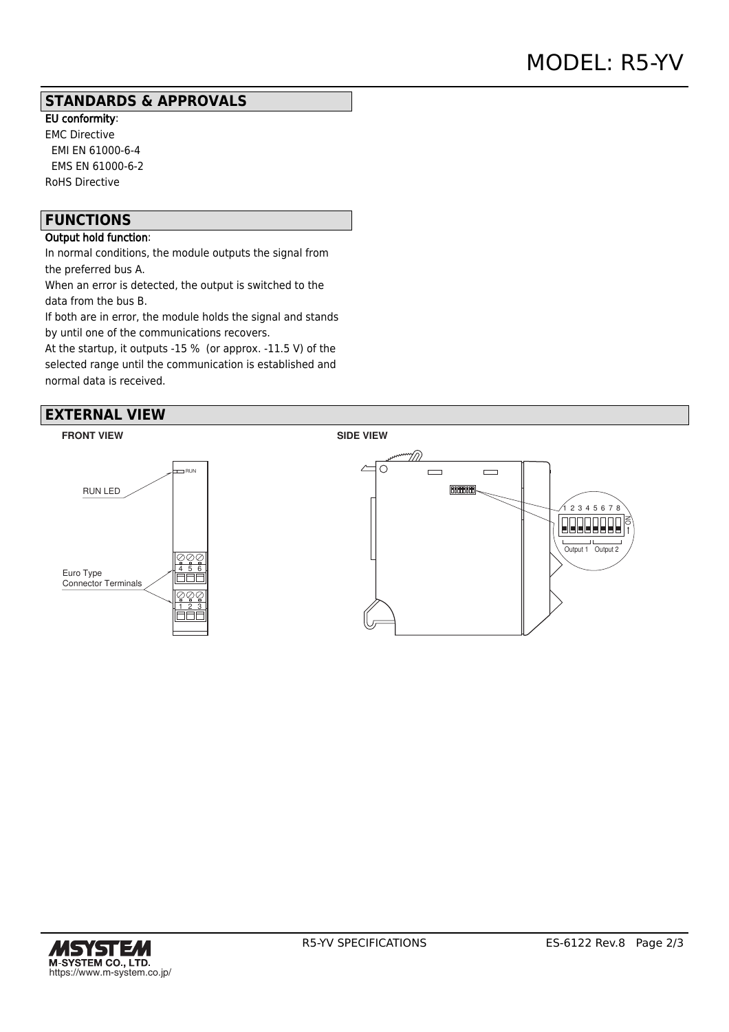## **STANDARDS & APPROVALS**

EU conformity: EMC Directive EMI EN 61000-6-4 EMS EN 61000-6-2 RoHS Directive

## **FUNCTIONS**

## Output hold function:

In normal conditions, the module outputs the signal from the preferred bus A.

When an error is detected, the output is switched to the data from the bus B.

If both are in error, the module holds the signal and stands by until one of the communications recovers.

At the startup, it outputs -15 % (or approx. -11.5 V) of the selected range until the communication is established and normal data is received.

## **EXTERNAL VIEW**